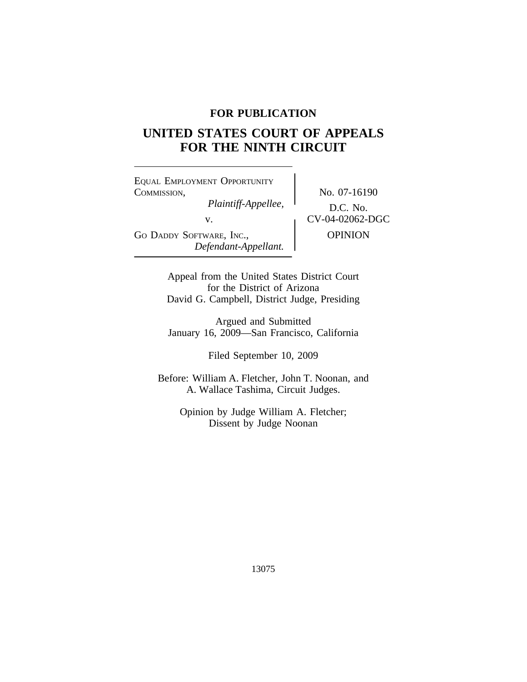## **FOR PUBLICATION**

# **UNITED STATES COURT OF APPEALS FOR THE NINTH CIRCUIT**

<sup>E</sup>QUAL EMPLOYMENT OPPORTUNITY COMMISSION,<br>Plaintiff-Appellee, No. 07-16190 *Plaintiff-Appellee,*<br>v. CV-04-02062-DGC GO DADDY SOFTWARE, INC., **OPINION** *Defendant-Appellant.*

Appeal from the United States District Court for the District of Arizona David G. Campbell, District Judge, Presiding

Argued and Submitted January 16, 2009—San Francisco, California

Filed September 10, 2009

Before: William A. Fletcher, John T. Noonan, and A. Wallace Tashima, Circuit Judges.

> Opinion by Judge William A. Fletcher; Dissent by Judge Noonan

> > 13075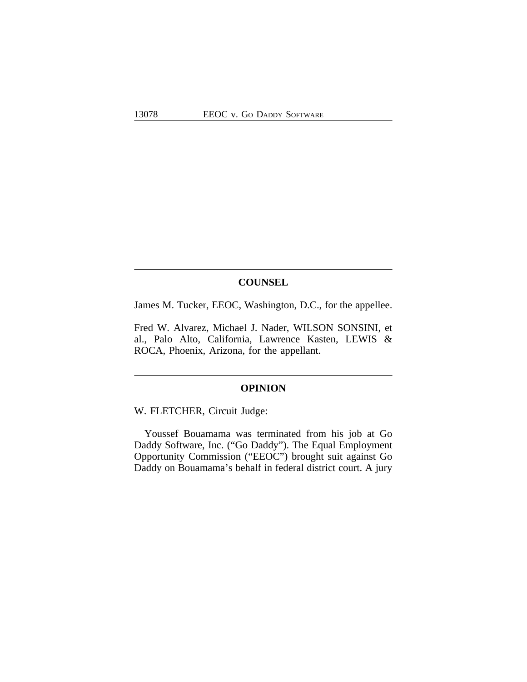## **COUNSEL**

James M. Tucker, EEOC, Washington, D.C., for the appellee.

Fred W. Alvarez, Michael J. Nader, WILSON SONSINI, et al., Palo Alto, California, Lawrence Kasten, LEWIS & ROCA, Phoenix, Arizona, for the appellant.

## **OPINION**

W. FLETCHER, Circuit Judge:

Youssef Bouamama was terminated from his job at Go Daddy Software, Inc. ("Go Daddy"). The Equal Employment Opportunity Commission ("EEOC") brought suit against Go Daddy on Bouamama's behalf in federal district court. A jury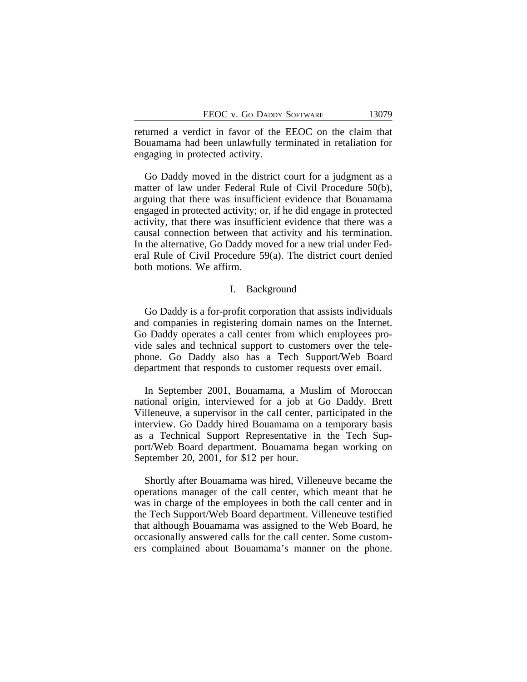returned a verdict in favor of the EEOC on the claim that Bouamama had been unlawfully terminated in retaliation for engaging in protected activity.

Go Daddy moved in the district court for a judgment as a matter of law under Federal Rule of Civil Procedure 50(b), arguing that there was insufficient evidence that Bouamama engaged in protected activity; or, if he did engage in protected activity, that there was insufficient evidence that there was a causal connection between that activity and his termination. In the alternative, Go Daddy moved for a new trial under Federal Rule of Civil Procedure 59(a). The district court denied both motions. We affirm.

### I. Background

Go Daddy is a for-profit corporation that assists individuals and companies in registering domain names on the Internet. Go Daddy operates a call center from which employees provide sales and technical support to customers over the telephone. Go Daddy also has a Tech Support/Web Board department that responds to customer requests over email.

In September 2001, Bouamama, a Muslim of Moroccan national origin, interviewed for a job at Go Daddy. Brett Villeneuve, a supervisor in the call center, participated in the interview. Go Daddy hired Bouamama on a temporary basis as a Technical Support Representative in the Tech Support/Web Board department. Bouamama began working on September 20, 2001, for \$12 per hour.

Shortly after Bouamama was hired, Villeneuve became the operations manager of the call center, which meant that he was in charge of the employees in both the call center and in the Tech Support/Web Board department. Villeneuve testified that although Bouamama was assigned to the Web Board, he occasionally answered calls for the call center. Some customers complained about Bouamama's manner on the phone.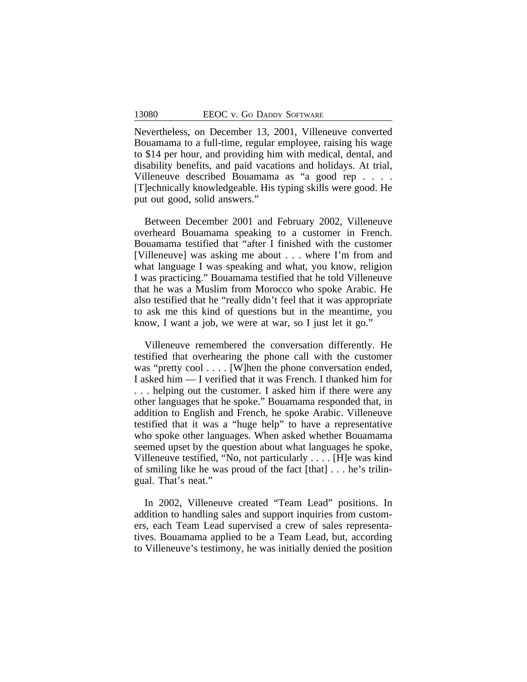Nevertheless, on December 13, 2001, Villeneuve converted Bouamama to a full-time, regular employee, raising his wage to \$14 per hour, and providing him with medical, dental, and disability benefits, and paid vacations and holidays. At trial, Villeneuve described Bouamama as "a good rep . . . . [T]echnically knowledgeable. His typing skills were good. He put out good, solid answers."

Between December 2001 and February 2002, Villeneuve overheard Bouamama speaking to a customer in French. Bouamama testified that "after I finished with the customer [Villeneuve] was asking me about . . . where I'm from and what language I was speaking and what, you know, religion I was practicing." Bouamama testified that he told Villeneuve that he was a Muslim from Morocco who spoke Arabic. He also testified that he "really didn't feel that it was appropriate to ask me this kind of questions but in the meantime, you know, I want a job, we were at war, so I just let it go."

Villeneuve remembered the conversation differently. He testified that overhearing the phone call with the customer was "pretty cool . . . . [W]hen the phone conversation ended, I asked him — I verified that it was French. I thanked him for ... helping out the customer. I asked him if there were any other languages that he spoke." Bouamama responded that, in addition to English and French, he spoke Arabic. Villeneuve testified that it was a "huge help" to have a representative who spoke other languages. When asked whether Bouamama seemed upset by the question about what languages he spoke, Villeneuve testified, "No, not particularly . . . . [H]e was kind of smiling like he was proud of the fact [that] . . . he's trilingual. That's neat."

In 2002, Villeneuve created "Team Lead" positions. In addition to handling sales and support inquiries from customers, each Team Lead supervised a crew of sales representatives. Bouamama applied to be a Team Lead, but, according to Villeneuve's testimony, he was initially denied the position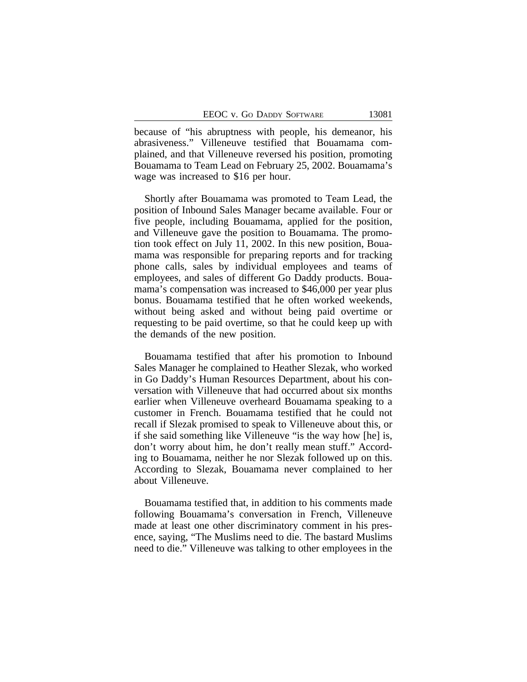because of "his abruptness with people, his demeanor, his abrasiveness." Villeneuve testified that Bouamama complained, and that Villeneuve reversed his position, promoting Bouamama to Team Lead on February 25, 2002. Bouamama's wage was increased to \$16 per hour.

Shortly after Bouamama was promoted to Team Lead, the position of Inbound Sales Manager became available. Four or five people, including Bouamama, applied for the position, and Villeneuve gave the position to Bouamama. The promotion took effect on July 11, 2002. In this new position, Bouamama was responsible for preparing reports and for tracking phone calls, sales by individual employees and teams of employees, and sales of different Go Daddy products. Bouamama's compensation was increased to \$46,000 per year plus bonus. Bouamama testified that he often worked weekends, without being asked and without being paid overtime or requesting to be paid overtime, so that he could keep up with the demands of the new position.

Bouamama testified that after his promotion to Inbound Sales Manager he complained to Heather Slezak, who worked in Go Daddy's Human Resources Department, about his conversation with Villeneuve that had occurred about six months earlier when Villeneuve overheard Bouamama speaking to a customer in French. Bouamama testified that he could not recall if Slezak promised to speak to Villeneuve about this, or if she said something like Villeneuve "is the way how [he] is, don't worry about him, he don't really mean stuff." According to Bouamama, neither he nor Slezak followed up on this. According to Slezak, Bouamama never complained to her about Villeneuve.

Bouamama testified that, in addition to his comments made following Bouamama's conversation in French, Villeneuve made at least one other discriminatory comment in his presence, saying, "The Muslims need to die. The bastard Muslims need to die." Villeneuve was talking to other employees in the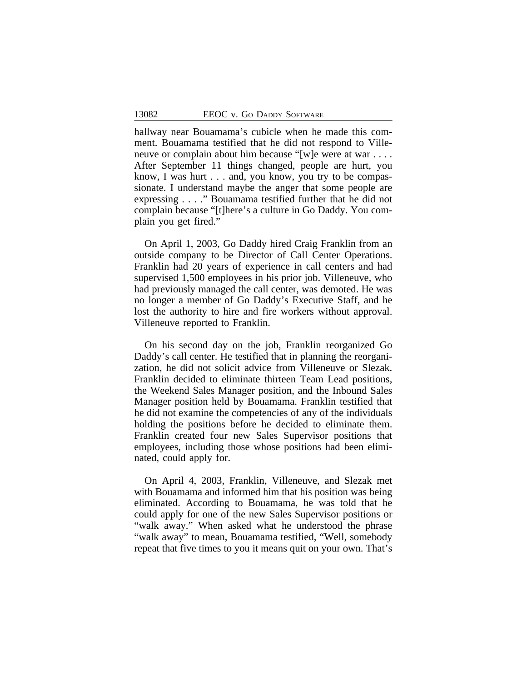hallway near Bouamama's cubicle when he made this comment. Bouamama testified that he did not respond to Villeneuve or complain about him because "[w]e were at war . . . . After September 11 things changed, people are hurt, you know, I was hurt . . . and, you know, you try to be compassionate. I understand maybe the anger that some people are expressing . . . ." Bouamama testified further that he did not complain because "[t]here's a culture in Go Daddy. You complain you get fired."

On April 1, 2003, Go Daddy hired Craig Franklin from an outside company to be Director of Call Center Operations. Franklin had 20 years of experience in call centers and had supervised 1,500 employees in his prior job. Villeneuve, who had previously managed the call center, was demoted. He was no longer a member of Go Daddy's Executive Staff, and he lost the authority to hire and fire workers without approval. Villeneuve reported to Franklin.

On his second day on the job, Franklin reorganized Go Daddy's call center. He testified that in planning the reorganization, he did not solicit advice from Villeneuve or Slezak. Franklin decided to eliminate thirteen Team Lead positions, the Weekend Sales Manager position, and the Inbound Sales Manager position held by Bouamama. Franklin testified that he did not examine the competencies of any of the individuals holding the positions before he decided to eliminate them. Franklin created four new Sales Supervisor positions that employees, including those whose positions had been eliminated, could apply for.

On April 4, 2003, Franklin, Villeneuve, and Slezak met with Bouamama and informed him that his position was being eliminated. According to Bouamama, he was told that he could apply for one of the new Sales Supervisor positions or "walk away." When asked what he understood the phrase "walk away" to mean, Bouamama testified, "Well, somebody repeat that five times to you it means quit on your own. That's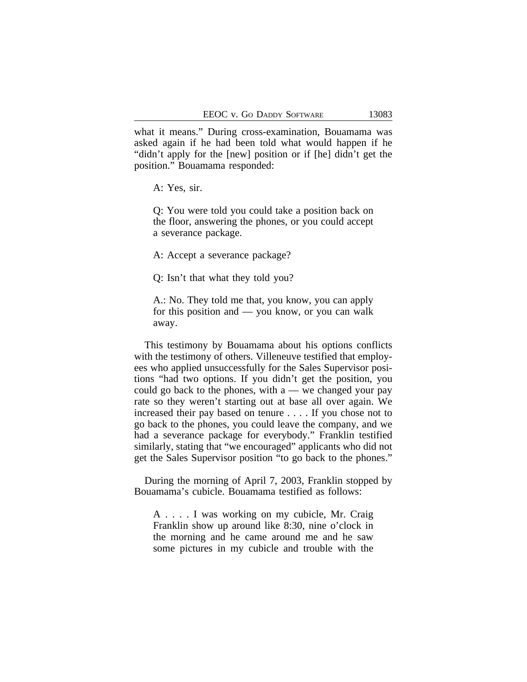what it means." During cross-examination, Bouamama was asked again if he had been told what would happen if he "didn't apply for the [new] position or if [he] didn't get the position." Bouamama responded:

A: Yes, sir.

Q: You were told you could take a position back on the floor, answering the phones, or you could accept a severance package.

A: Accept a severance package?

Q: Isn't that what they told you?

A.: No. They told me that, you know, you can apply for this position and — you know, or you can walk away.

This testimony by Bouamama about his options conflicts with the testimony of others. Villeneuve testified that employees who applied unsuccessfully for the Sales Supervisor positions "had two options. If you didn't get the position, you could go back to the phones, with  $a$  — we changed your pay rate so they weren't starting out at base all over again. We increased their pay based on tenure . . . . If you chose not to go back to the phones, you could leave the company, and we had a severance package for everybody." Franklin testified similarly, stating that "we encouraged" applicants who did not get the Sales Supervisor position "to go back to the phones."

During the morning of April 7, 2003, Franklin stopped by Bouamama's cubicle. Bouamama testified as follows:

A . . . . I was working on my cubicle, Mr. Craig Franklin show up around like 8:30, nine o'clock in the morning and he came around me and he saw some pictures in my cubicle and trouble with the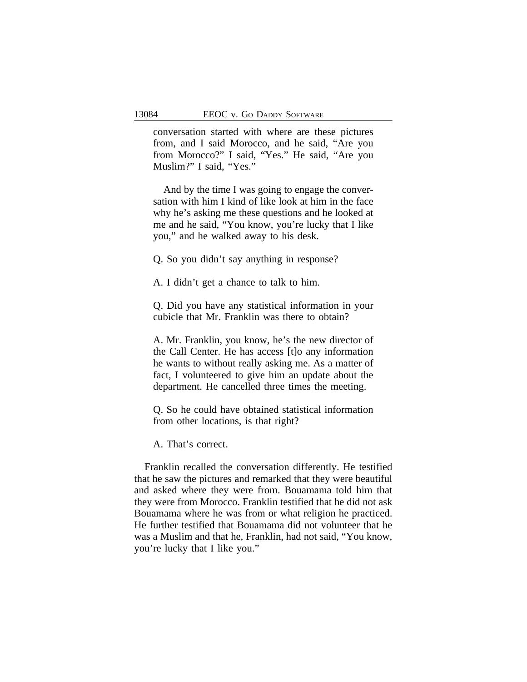conversation started with where are these pictures from, and I said Morocco, and he said, "Are you from Morocco?" I said, "Yes." He said, "Are you Muslim?" I said, "Yes."

And by the time I was going to engage the conversation with him I kind of like look at him in the face why he's asking me these questions and he looked at me and he said, "You know, you're lucky that I like you," and he walked away to his desk.

Q. So you didn't say anything in response?

A. I didn't get a chance to talk to him.

Q. Did you have any statistical information in your cubicle that Mr. Franklin was there to obtain?

A. Mr. Franklin, you know, he's the new director of the Call Center. He has access [t]o any information he wants to without really asking me. As a matter of fact, I volunteered to give him an update about the department. He cancelled three times the meeting.

Q. So he could have obtained statistical information from other locations, is that right?

A. That's correct.

Franklin recalled the conversation differently. He testified that he saw the pictures and remarked that they were beautiful and asked where they were from. Bouamama told him that they were from Morocco. Franklin testified that he did not ask Bouamama where he was from or what religion he practiced. He further testified that Bouamama did not volunteer that he was a Muslim and that he, Franklin, had not said, "You know, you're lucky that I like you."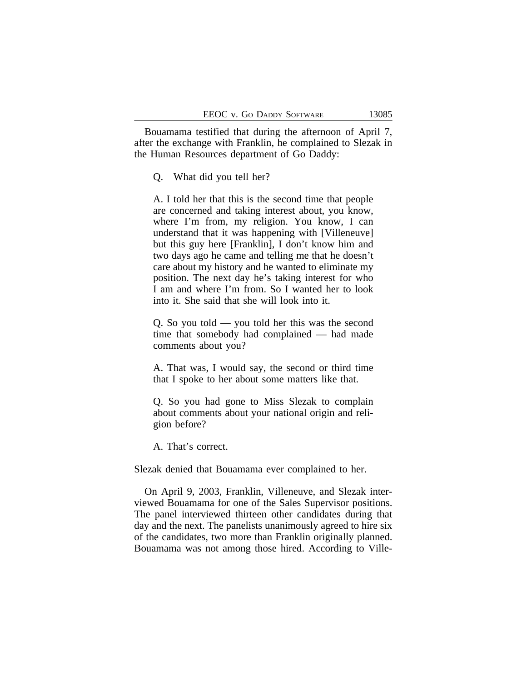Bouamama testified that during the afternoon of April 7, after the exchange with Franklin, he complained to Slezak in the Human Resources department of Go Daddy:

Q. What did you tell her?

A. I told her that this is the second time that people are concerned and taking interest about, you know, where I'm from, my religion. You know, I can understand that it was happening with [Villeneuve] but this guy here [Franklin], I don't know him and two days ago he came and telling me that he doesn't care about my history and he wanted to eliminate my position. The next day he's taking interest for who I am and where I'm from. So I wanted her to look into it. She said that she will look into it.

Q. So you told — you told her this was the second time that somebody had complained — had made comments about you?

A. That was, I would say, the second or third time that I spoke to her about some matters like that.

Q. So you had gone to Miss Slezak to complain about comments about your national origin and religion before?

A. That's correct.

Slezak denied that Bouamama ever complained to her.

On April 9, 2003, Franklin, Villeneuve, and Slezak interviewed Bouamama for one of the Sales Supervisor positions. The panel interviewed thirteen other candidates during that day and the next. The panelists unanimously agreed to hire six of the candidates, two more than Franklin originally planned. Bouamama was not among those hired. According to Ville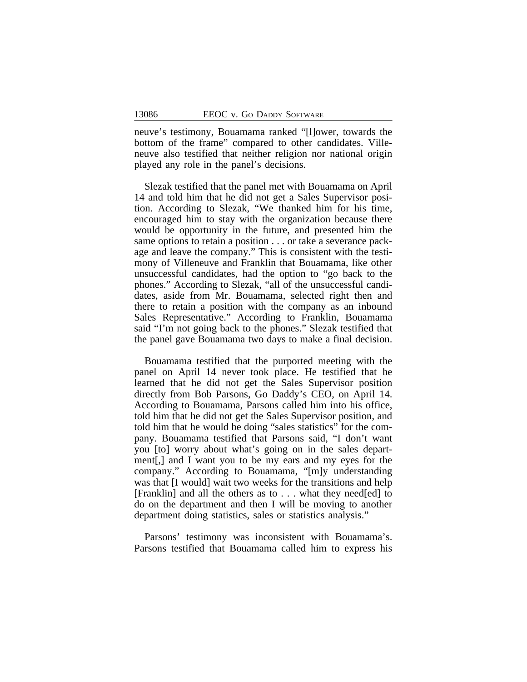neuve's testimony, Bouamama ranked "[l]ower, towards the bottom of the frame" compared to other candidates. Villeneuve also testified that neither religion nor national origin played any role in the panel's decisions.

Slezak testified that the panel met with Bouamama on April 14 and told him that he did not get a Sales Supervisor position. According to Slezak, "We thanked him for his time, encouraged him to stay with the organization because there would be opportunity in the future, and presented him the same options to retain a position . . . or take a severance package and leave the company." This is consistent with the testimony of Villeneuve and Franklin that Bouamama, like other unsuccessful candidates, had the option to "go back to the phones." According to Slezak, "all of the unsuccessful candidates, aside from Mr. Bouamama, selected right then and there to retain a position with the company as an inbound Sales Representative." According to Franklin, Bouamama said "I'm not going back to the phones." Slezak testified that the panel gave Bouamama two days to make a final decision.

Bouamama testified that the purported meeting with the panel on April 14 never took place. He testified that he learned that he did not get the Sales Supervisor position directly from Bob Parsons, Go Daddy's CEO, on April 14. According to Bouamama, Parsons called him into his office, told him that he did not get the Sales Supervisor position, and told him that he would be doing "sales statistics" for the company. Bouamama testified that Parsons said, "I don't want you [to] worry about what's going on in the sales department[,] and I want you to be my ears and my eyes for the company." According to Bouamama, "[m]y understanding was that [I would] wait two weeks for the transitions and help [Franklin] and all the others as to . . . what they need[ed] to do on the department and then I will be moving to another department doing statistics, sales or statistics analysis."

Parsons' testimony was inconsistent with Bouamama's. Parsons testified that Bouamama called him to express his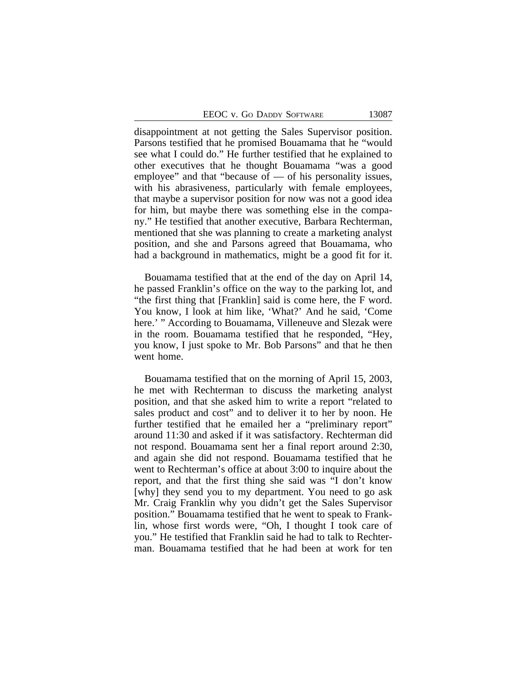disappointment at not getting the Sales Supervisor position. Parsons testified that he promised Bouamama that he "would see what I could do." He further testified that he explained to other executives that he thought Bouamama "was a good employee" and that "because of — of his personality issues, with his abrasiveness, particularly with female employees, that maybe a supervisor position for now was not a good idea for him, but maybe there was something else in the company." He testified that another executive, Barbara Rechterman, mentioned that she was planning to create a marketing analyst position, and she and Parsons agreed that Bouamama, who had a background in mathematics, might be a good fit for it.

Bouamama testified that at the end of the day on April 14, he passed Franklin's office on the way to the parking lot, and "the first thing that [Franklin] said is come here, the F word. You know, I look at him like, 'What?' And he said, 'Come here.' " According to Bouamama, Villeneuve and Slezak were in the room. Bouamama testified that he responded, "Hey, you know, I just spoke to Mr. Bob Parsons" and that he then went home.

Bouamama testified that on the morning of April 15, 2003, he met with Rechterman to discuss the marketing analyst position, and that she asked him to write a report "related to sales product and cost" and to deliver it to her by noon. He further testified that he emailed her a "preliminary report" around 11:30 and asked if it was satisfactory. Rechterman did not respond. Bouamama sent her a final report around 2:30, and again she did not respond. Bouamama testified that he went to Rechterman's office at about 3:00 to inquire about the report, and that the first thing she said was "I don't know [why] they send you to my department. You need to go ask Mr. Craig Franklin why you didn't get the Sales Supervisor position." Bouamama testified that he went to speak to Franklin, whose first words were, "Oh, I thought I took care of you." He testified that Franklin said he had to talk to Rechterman. Bouamama testified that he had been at work for ten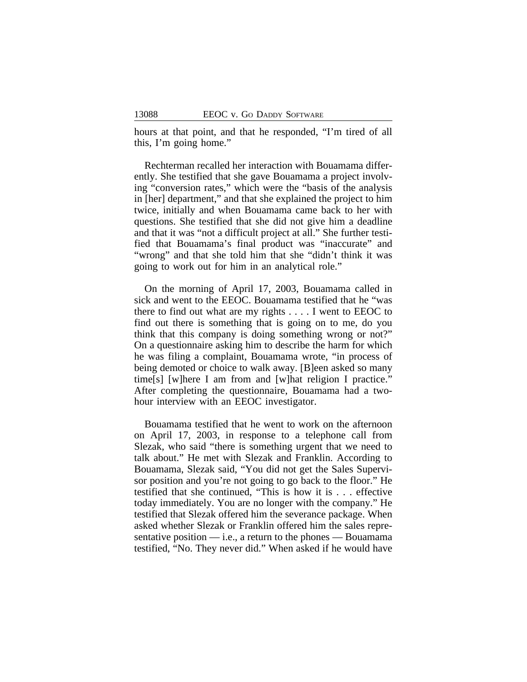hours at that point, and that he responded, "I'm tired of all this, I'm going home."

Rechterman recalled her interaction with Bouamama differently. She testified that she gave Bouamama a project involving "conversion rates," which were the "basis of the analysis in [her] department," and that she explained the project to him twice, initially and when Bouamama came back to her with questions. She testified that she did not give him a deadline and that it was "not a difficult project at all." She further testified that Bouamama's final product was "inaccurate" and "wrong" and that she told him that she "didn't think it was going to work out for him in an analytical role."

On the morning of April 17, 2003, Bouamama called in sick and went to the EEOC. Bouamama testified that he "was there to find out what are my rights . . . . I went to EEOC to find out there is something that is going on to me, do you think that this company is doing something wrong or not?" On a questionnaire asking him to describe the harm for which he was filing a complaint, Bouamama wrote, "in process of being demoted or choice to walk away. [B]een asked so many time[s] [w]here I am from and [w]hat religion I practice." After completing the questionnaire, Bouamama had a twohour interview with an EEOC investigator.

Bouamama testified that he went to work on the afternoon on April 17, 2003, in response to a telephone call from Slezak, who said "there is something urgent that we need to talk about." He met with Slezak and Franklin. According to Bouamama, Slezak said, "You did not get the Sales Supervisor position and you're not going to go back to the floor." He testified that she continued, "This is how it is . . . effective today immediately. You are no longer with the company." He testified that Slezak offered him the severance package. When asked whether Slezak or Franklin offered him the sales representative position  $-$  i.e., a return to the phones  $-$  Bouamama testified, "No. They never did." When asked if he would have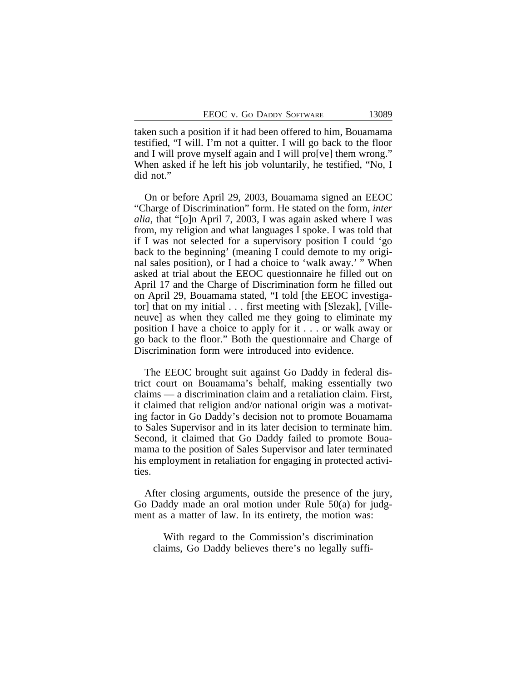taken such a position if it had been offered to him, Bouamama testified, "I will. I'm not a quitter. I will go back to the floor and I will prove myself again and I will pro[ve] them wrong." When asked if he left his job voluntarily, he testified, "No, I did not."

On or before April 29, 2003, Bouamama signed an EEOC "Charge of Discrimination" form. He stated on the form, *inter alia*, that "[o]n April 7, 2003, I was again asked where I was from, my religion and what languages I spoke. I was told that if I was not selected for a supervisory position I could 'go back to the beginning' (meaning I could demote to my original sales position), or I had a choice to 'walk away.' " When asked at trial about the EEOC questionnaire he filled out on April 17 and the Charge of Discrimination form he filled out on April 29, Bouamama stated, "I told [the EEOC investigator] that on my initial . . . first meeting with [Slezak], [Villeneuve] as when they called me they going to eliminate my position I have a choice to apply for it . . . or walk away or go back to the floor." Both the questionnaire and Charge of Discrimination form were introduced into evidence.

The EEOC brought suit against Go Daddy in federal district court on Bouamama's behalf, making essentially two claims — a discrimination claim and a retaliation claim. First, it claimed that religion and/or national origin was a motivating factor in Go Daddy's decision not to promote Bouamama to Sales Supervisor and in its later decision to terminate him. Second, it claimed that Go Daddy failed to promote Bouamama to the position of Sales Supervisor and later terminated his employment in retaliation for engaging in protected activities.

After closing arguments, outside the presence of the jury, Go Daddy made an oral motion under Rule 50(a) for judgment as a matter of law. In its entirety, the motion was:

With regard to the Commission's discrimination claims, Go Daddy believes there's no legally suffi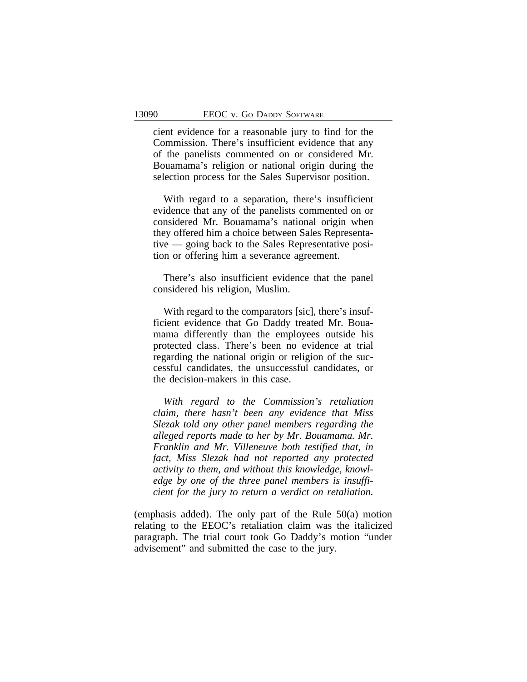cient evidence for a reasonable jury to find for the Commission. There's insufficient evidence that any of the panelists commented on or considered Mr. Bouamama's religion or national origin during the selection process for the Sales Supervisor position.

With regard to a separation, there's insufficient evidence that any of the panelists commented on or considered Mr. Bouamama's national origin when they offered him a choice between Sales Representative — going back to the Sales Representative position or offering him a severance agreement.

There's also insufficient evidence that the panel considered his religion, Muslim.

With regard to the comparators [sic], there's insufficient evidence that Go Daddy treated Mr. Bouamama differently than the employees outside his protected class. There's been no evidence at trial regarding the national origin or religion of the successful candidates, the unsuccessful candidates, or the decision-makers in this case.

*With regard to the Commission's retaliation claim, there hasn't been any evidence that Miss Slezak told any other panel members regarding the alleged reports made to her by Mr. Bouamama. Mr. Franklin and Mr. Villeneuve both testified that, in fact, Miss Slezak had not reported any protected activity to them, and without this knowledge, knowledge by one of the three panel members is insufficient for the jury to return a verdict on retaliation.*

(emphasis added). The only part of the Rule 50(a) motion relating to the EEOC's retaliation claim was the italicized paragraph. The trial court took Go Daddy's motion "under advisement" and submitted the case to the jury.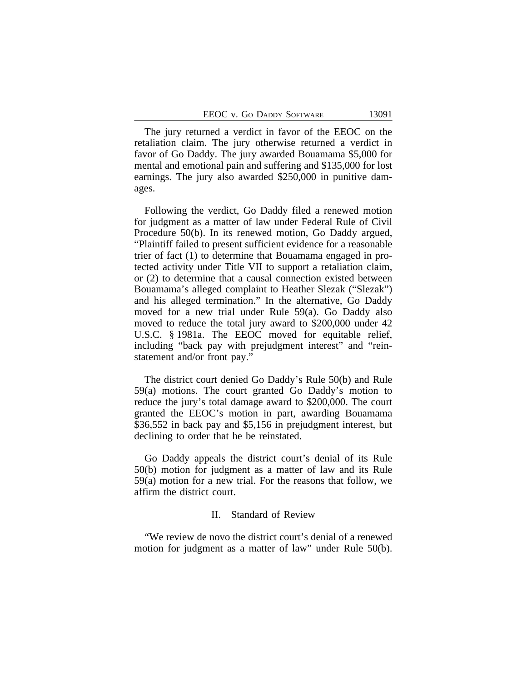The jury returned a verdict in favor of the EEOC on the retaliation claim. The jury otherwise returned a verdict in favor of Go Daddy. The jury awarded Bouamama \$5,000 for mental and emotional pain and suffering and \$135,000 for lost earnings. The jury also awarded \$250,000 in punitive damages.

Following the verdict, Go Daddy filed a renewed motion for judgment as a matter of law under Federal Rule of Civil Procedure 50(b). In its renewed motion, Go Daddy argued, "Plaintiff failed to present sufficient evidence for a reasonable trier of fact (1) to determine that Bouamama engaged in protected activity under Title VII to support a retaliation claim, or (2) to determine that a causal connection existed between Bouamama's alleged complaint to Heather Slezak ("Slezak") and his alleged termination." In the alternative, Go Daddy moved for a new trial under Rule 59(a). Go Daddy also moved to reduce the total jury award to \$200,000 under 42 U.S.C. § 1981a. The EEOC moved for equitable relief, including "back pay with prejudgment interest" and "reinstatement and/or front pay."

The district court denied Go Daddy's Rule 50(b) and Rule 59(a) motions. The court granted Go Daddy's motion to reduce the jury's total damage award to \$200,000. The court granted the EEOC's motion in part, awarding Bouamama \$36,552 in back pay and \$5,156 in prejudgment interest, but declining to order that he be reinstated.

Go Daddy appeals the district court's denial of its Rule 50(b) motion for judgment as a matter of law and its Rule 59(a) motion for a new trial. For the reasons that follow, we affirm the district court.

#### II. Standard of Review

"We review de novo the district court's denial of a renewed motion for judgment as a matter of law" under Rule 50(b).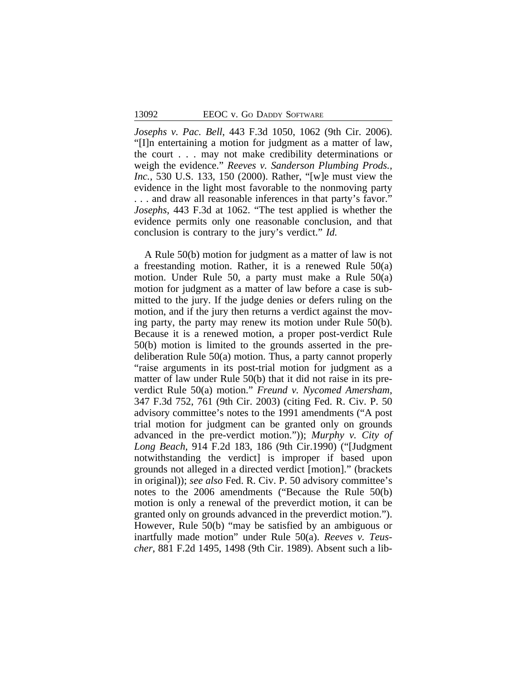*Josephs v. Pac. Bell*, 443 F.3d 1050, 1062 (9th Cir. 2006). "[I]n entertaining a motion for judgment as a matter of law, the court . . . may not make credibility determinations or weigh the evidence." *Reeves v. Sanderson Plumbing Prods., Inc.*, 530 U.S. 133, 150 (2000). Rather, "[w]e must view the evidence in the light most favorable to the nonmoving party . . . and draw all reasonable inferences in that party's favor." *Josephs*, 443 F.3d at 1062. "The test applied is whether the evidence permits only one reasonable conclusion, and that conclusion is contrary to the jury's verdict." *Id.*

A Rule 50(b) motion for judgment as a matter of law is not a freestanding motion. Rather, it is a renewed Rule 50(a) motion. Under Rule 50, a party must make a Rule 50(a) motion for judgment as a matter of law before a case is submitted to the jury. If the judge denies or defers ruling on the motion, and if the jury then returns a verdict against the moving party, the party may renew its motion under Rule 50(b). Because it is a renewed motion, a proper post-verdict Rule 50(b) motion is limited to the grounds asserted in the predeliberation Rule 50(a) motion. Thus, a party cannot properly "raise arguments in its post-trial motion for judgment as a matter of law under Rule 50(b) that it did not raise in its preverdict Rule 50(a) motion." *Freund v. Nycomed Amersham*, 347 F.3d 752, 761 (9th Cir. 2003) (citing Fed. R. Civ. P. 50 advisory committee's notes to the 1991 amendments ("A post trial motion for judgment can be granted only on grounds advanced in the pre-verdict motion.")); *Murphy v. City of Long Beach*, 914 F.2d 183, 186 (9th Cir.1990) ("[Judgment notwithstanding the verdict] is improper if based upon grounds not alleged in a directed verdict [motion]." (brackets in original)); *see also* Fed. R. Civ. P. 50 advisory committee's notes to the 2006 amendments ("Because the Rule 50(b) motion is only a renewal of the preverdict motion, it can be granted only on grounds advanced in the preverdict motion."). However, Rule 50(b) "may be satisfied by an ambiguous or inartfully made motion" under Rule 50(a). *Reeves v. Teuscher*, 881 F.2d 1495, 1498 (9th Cir. 1989). Absent such a lib-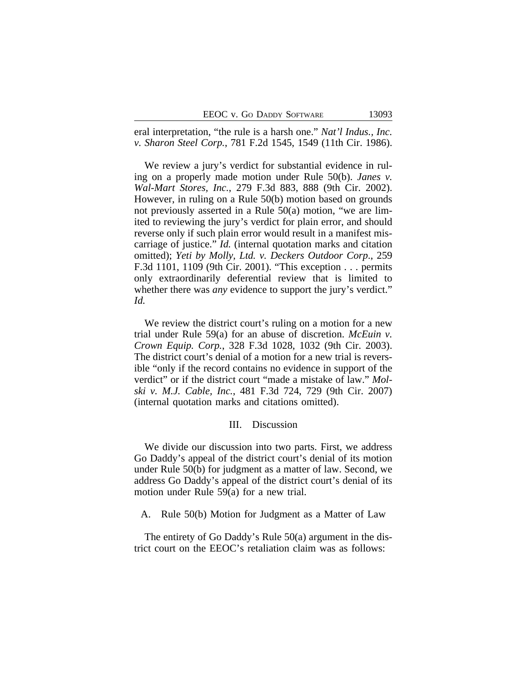|  |  |  | EEOC v. Go DADDY SOFTWARE |
|--|--|--|---------------------------|
|--|--|--|---------------------------|

eral interpretation, "the rule is a harsh one." *Nat'l Indus., Inc. v. Sharon Steel Corp.*, 781 F.2d 1545, 1549 (11th Cir. 1986).

We review a jury's verdict for substantial evidence in ruling on a properly made motion under Rule 50(b). *Janes v. Wal-Mart Stores, Inc.*, 279 F.3d 883, 888 (9th Cir. 2002). However, in ruling on a Rule 50(b) motion based on grounds not previously asserted in a Rule 50(a) motion, "we are limited to reviewing the jury's verdict for plain error, and should reverse only if such plain error would result in a manifest miscarriage of justice." *Id.* (internal quotation marks and citation omitted); *Yeti by Molly, Ltd. v. Deckers Outdoor Corp*., 259 F.3d 1101, 1109 (9th Cir. 2001). "This exception . . . permits only extraordinarily deferential review that is limited to whether there was *any* evidence to support the jury's verdict." *Id.* 

We review the district court's ruling on a motion for a new trial under Rule 59(a) for an abuse of discretion. *McEuin v. Crown Equip. Corp.*, 328 F.3d 1028, 1032 (9th Cir. 2003). The district court's denial of a motion for a new trial is reversible "only if the record contains no evidence in support of the verdict" or if the district court "made a mistake of law." *Molski v. M.J. Cable, Inc.*, 481 F.3d 724, 729 (9th Cir. 2007) (internal quotation marks and citations omitted).

#### III. Discussion

We divide our discussion into two parts. First, we address Go Daddy's appeal of the district court's denial of its motion under Rule 50(b) for judgment as a matter of law. Second, we address Go Daddy's appeal of the district court's denial of its motion under Rule 59(a) for a new trial.

A. Rule 50(b) Motion for Judgment as a Matter of Law

The entirety of Go Daddy's Rule 50(a) argument in the district court on the EEOC's retaliation claim was as follows: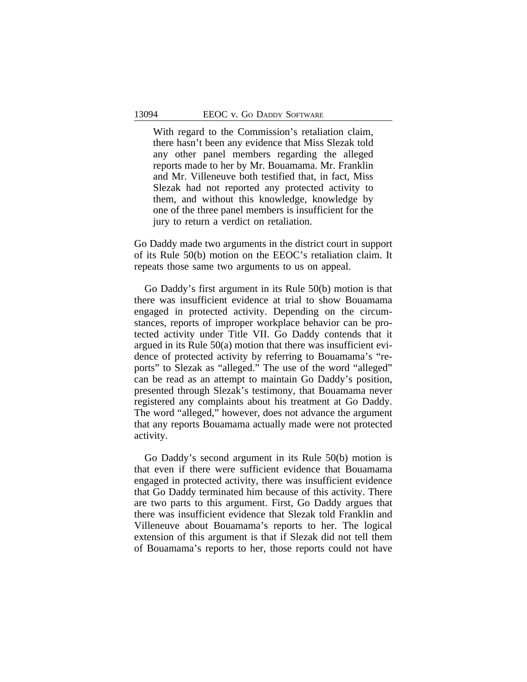With regard to the Commission's retaliation claim, there hasn't been any evidence that Miss Slezak told any other panel members regarding the alleged reports made to her by Mr. Bouamama. Mr. Franklin and Mr. Villeneuve both testified that, in fact, Miss Slezak had not reported any protected activity to them, and without this knowledge, knowledge by one of the three panel members is insufficient for the jury to return a verdict on retaliation.

Go Daddy made two arguments in the district court in support of its Rule 50(b) motion on the EEOC's retaliation claim. It repeats those same two arguments to us on appeal.

Go Daddy's first argument in its Rule 50(b) motion is that there was insufficient evidence at trial to show Bouamama engaged in protected activity. Depending on the circumstances, reports of improper workplace behavior can be protected activity under Title VII. Go Daddy contends that it argued in its Rule 50(a) motion that there was insufficient evidence of protected activity by referring to Bouamama's "reports" to Slezak as "alleged." The use of the word "alleged" can be read as an attempt to maintain Go Daddy's position, presented through Slezak's testimony, that Bouamama never registered any complaints about his treatment at Go Daddy. The word "alleged," however, does not advance the argument that any reports Bouamama actually made were not protected activity.

Go Daddy's second argument in its Rule 50(b) motion is that even if there were sufficient evidence that Bouamama engaged in protected activity, there was insufficient evidence that Go Daddy terminated him because of this activity. There are two parts to this argument. First, Go Daddy argues that there was insufficient evidence that Slezak told Franklin and Villeneuve about Bouamama's reports to her. The logical extension of this argument is that if Slezak did not tell them of Bouamama's reports to her, those reports could not have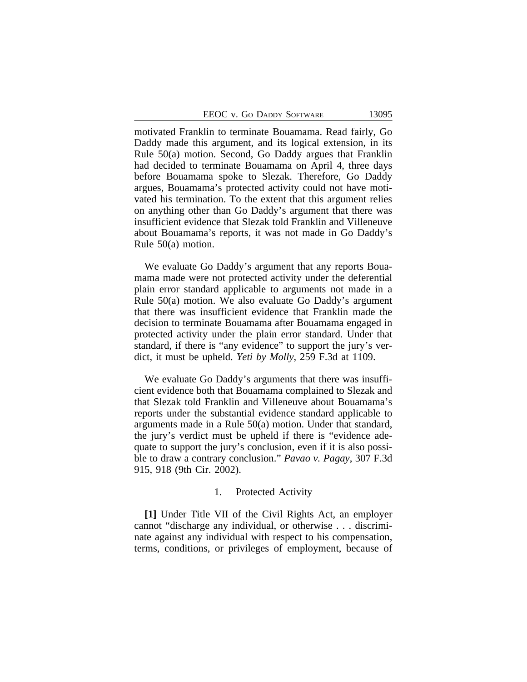motivated Franklin to terminate Bouamama. Read fairly, Go Daddy made this argument, and its logical extension, in its Rule 50(a) motion. Second, Go Daddy argues that Franklin had decided to terminate Bouamama on April 4, three days before Bouamama spoke to Slezak. Therefore, Go Daddy argues, Bouamama's protected activity could not have motivated his termination. To the extent that this argument relies on anything other than Go Daddy's argument that there was insufficient evidence that Slezak told Franklin and Villeneuve about Bouamama's reports, it was not made in Go Daddy's Rule 50(a) motion.

We evaluate Go Daddy's argument that any reports Bouamama made were not protected activity under the deferential plain error standard applicable to arguments not made in a Rule 50(a) motion. We also evaluate Go Daddy's argument that there was insufficient evidence that Franklin made the decision to terminate Bouamama after Bouamama engaged in protected activity under the plain error standard. Under that standard, if there is "any evidence" to support the jury's verdict, it must be upheld. *Yeti by Molly*, 259 F.3d at 1109.

We evaluate Go Daddy's arguments that there was insufficient evidence both that Bouamama complained to Slezak and that Slezak told Franklin and Villeneuve about Bouamama's reports under the substantial evidence standard applicable to arguments made in a Rule 50(a) motion. Under that standard, the jury's verdict must be upheld if there is "evidence adequate to support the jury's conclusion, even if it is also possible to draw a contrary conclusion." *Pavao v. Pagay*, 307 F.3d 915, 918 (9th Cir. 2002).

## 1. Protected Activity

**[1]** Under Title VII of the Civil Rights Act, an employer cannot "discharge any individual, or otherwise . . . discriminate against any individual with respect to his compensation, terms, conditions, or privileges of employment, because of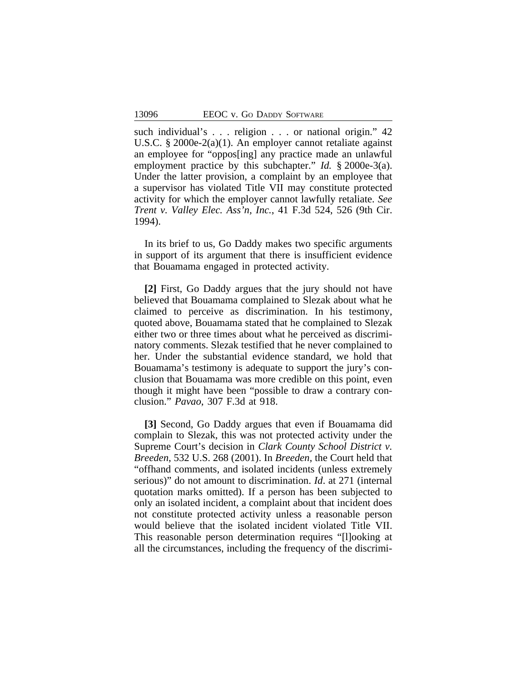such individual's . . . religion . . . or national origin." 42 U.S.C. § 2000e-2(a)(1). An employer cannot retaliate against an employee for "oppos[ing] any practice made an unlawful employment practice by this subchapter." *Id.* § 2000e-3(a). Under the latter provision, a complaint by an employee that a supervisor has violated Title VII may constitute protected activity for which the employer cannot lawfully retaliate. *See Trent v. Valley Elec. Ass'n, Inc.*, 41 F.3d 524, 526 (9th Cir. 1994).

In its brief to us, Go Daddy makes two specific arguments in support of its argument that there is insufficient evidence that Bouamama engaged in protected activity.

**[2]** First, Go Daddy argues that the jury should not have believed that Bouamama complained to Slezak about what he claimed to perceive as discrimination. In his testimony, quoted above, Bouamama stated that he complained to Slezak either two or three times about what he perceived as discriminatory comments. Slezak testified that he never complained to her. Under the substantial evidence standard, we hold that Bouamama's testimony is adequate to support the jury's conclusion that Bouamama was more credible on this point, even though it might have been "possible to draw a contrary conclusion." *Pavao*, 307 F.3d at 918.

**[3]** Second, Go Daddy argues that even if Bouamama did complain to Slezak, this was not protected activity under the Supreme Court's decision in *Clark County School District v. Breeden*, 532 U.S. 268 (2001). In *Breeden*, the Court held that "offhand comments, and isolated incidents (unless extremely serious)" do not amount to discrimination. *Id*. at 271 (internal quotation marks omitted). If a person has been subjected to only an isolated incident, a complaint about that incident does not constitute protected activity unless a reasonable person would believe that the isolated incident violated Title VII. This reasonable person determination requires "[l]ooking at all the circumstances, including the frequency of the discrimi-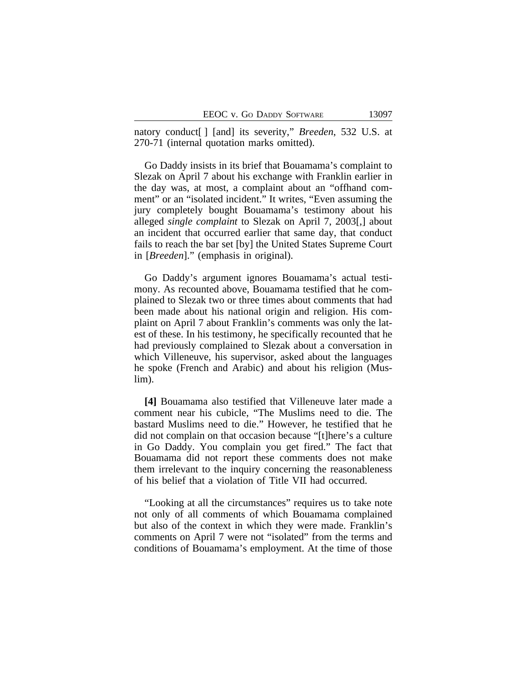natory conduct[ ] [and] its severity," *Breeden*, 532 U.S. at 270-71 (internal quotation marks omitted).

Go Daddy insists in its brief that Bouamama's complaint to Slezak on April 7 about his exchange with Franklin earlier in the day was, at most, a complaint about an "offhand comment" or an "isolated incident." It writes, "Even assuming the jury completely bought Bouamama's testimony about his alleged *single complaint* to Slezak on April 7, 2003[,] about an incident that occurred earlier that same day, that conduct fails to reach the bar set [by] the United States Supreme Court in [*Breeden*]." (emphasis in original).

Go Daddy's argument ignores Bouamama's actual testimony. As recounted above, Bouamama testified that he complained to Slezak two or three times about comments that had been made about his national origin and religion. His complaint on April 7 about Franklin's comments was only the latest of these. In his testimony, he specifically recounted that he had previously complained to Slezak about a conversation in which Villeneuve, his supervisor, asked about the languages he spoke (French and Arabic) and about his religion (Muslim).

**[4]** Bouamama also testified that Villeneuve later made a comment near his cubicle, "The Muslims need to die. The bastard Muslims need to die." However, he testified that he did not complain on that occasion because "[t]here's a culture in Go Daddy. You complain you get fired." The fact that Bouamama did not report these comments does not make them irrelevant to the inquiry concerning the reasonableness of his belief that a violation of Title VII had occurred.

"Looking at all the circumstances" requires us to take note not only of all comments of which Bouamama complained but also of the context in which they were made. Franklin's comments on April 7 were not "isolated" from the terms and conditions of Bouamama's employment. At the time of those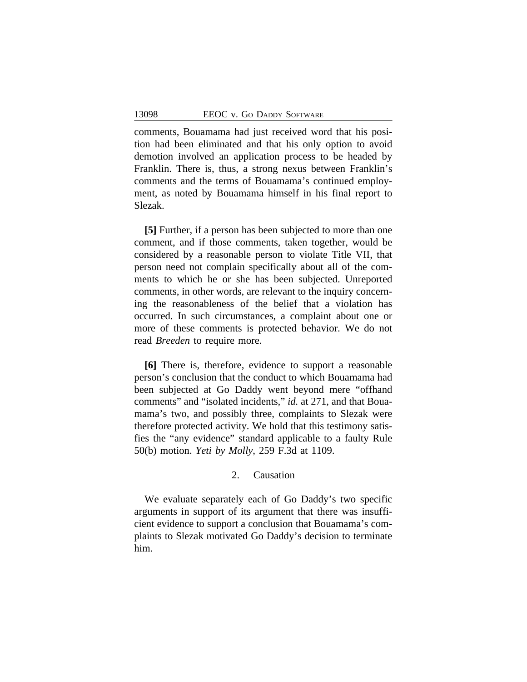comments, Bouamama had just received word that his position had been eliminated and that his only option to avoid demotion involved an application process to be headed by Franklin. There is, thus, a strong nexus between Franklin's comments and the terms of Bouamama's continued employment, as noted by Bouamama himself in his final report to Slezak.

**[5]** Further, if a person has been subjected to more than one comment, and if those comments, taken together, would be considered by a reasonable person to violate Title VII, that person need not complain specifically about all of the comments to which he or she has been subjected. Unreported comments, in other words, are relevant to the inquiry concerning the reasonableness of the belief that a violation has occurred. In such circumstances, a complaint about one or more of these comments is protected behavior. We do not read *Breeden* to require more.

**[6]** There is, therefore, evidence to support a reasonable person's conclusion that the conduct to which Bouamama had been subjected at Go Daddy went beyond mere "offhand comments" and "isolated incidents," *id.* at 271, and that Bouamama's two, and possibly three, complaints to Slezak were therefore protected activity. We hold that this testimony satisfies the "any evidence" standard applicable to a faulty Rule 50(b) motion. *Yeti by Molly*, 259 F.3d at 1109.

## 2. Causation

We evaluate separately each of Go Daddy's two specific arguments in support of its argument that there was insufficient evidence to support a conclusion that Bouamama's complaints to Slezak motivated Go Daddy's decision to terminate him.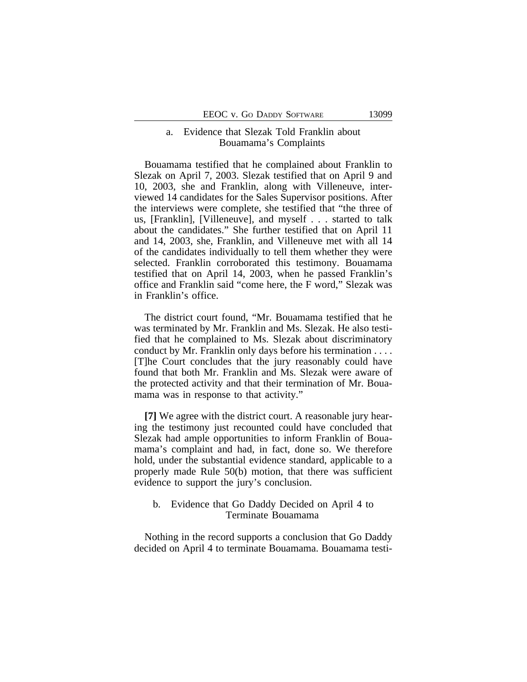## a. Evidence that Slezak Told Franklin about Bouamama's Complaints

Bouamama testified that he complained about Franklin to Slezak on April 7, 2003. Slezak testified that on April 9 and 10, 2003, she and Franklin, along with Villeneuve, interviewed 14 candidates for the Sales Supervisor positions. After the interviews were complete, she testified that "the three of us, [Franklin], [Villeneuve], and myself . . . started to talk about the candidates." She further testified that on April 11 and 14, 2003, she, Franklin, and Villeneuve met with all 14 of the candidates individually to tell them whether they were selected. Franklin corroborated this testimony. Bouamama testified that on April 14, 2003, when he passed Franklin's office and Franklin said "come here, the F word," Slezak was in Franklin's office.

The district court found, "Mr. Bouamama testified that he was terminated by Mr. Franklin and Ms. Slezak. He also testified that he complained to Ms. Slezak about discriminatory conduct by Mr. Franklin only days before his termination . . . . [T]he Court concludes that the jury reasonably could have found that both Mr. Franklin and Ms. Slezak were aware of the protected activity and that their termination of Mr. Bouamama was in response to that activity."

**[7]** We agree with the district court. A reasonable jury hearing the testimony just recounted could have concluded that Slezak had ample opportunities to inform Franklin of Bouamama's complaint and had, in fact, done so. We therefore hold, under the substantial evidence standard, applicable to a properly made Rule 50(b) motion, that there was sufficient evidence to support the jury's conclusion.

### b. Evidence that Go Daddy Decided on April 4 to Terminate Bouamama

Nothing in the record supports a conclusion that Go Daddy decided on April 4 to terminate Bouamama. Bouamama testi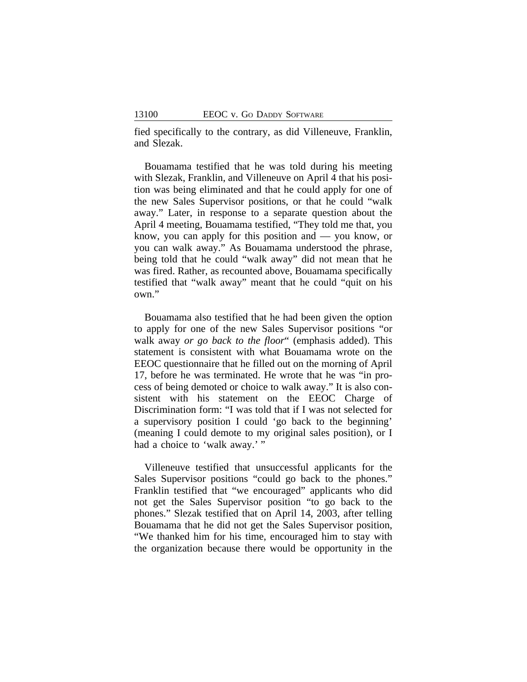fied specifically to the contrary, as did Villeneuve, Franklin, and Slezak.

Bouamama testified that he was told during his meeting with Slezak, Franklin, and Villeneuve on April 4 that his position was being eliminated and that he could apply for one of the new Sales Supervisor positions, or that he could "walk away." Later, in response to a separate question about the April 4 meeting, Bouamama testified, "They told me that, you know, you can apply for this position and — you know, or you can walk away." As Bouamama understood the phrase, being told that he could "walk away" did not mean that he was fired. Rather, as recounted above, Bouamama specifically testified that "walk away" meant that he could "quit on his own."

Bouamama also testified that he had been given the option to apply for one of the new Sales Supervisor positions "or walk away *or go back to the floor*" (emphasis added). This statement is consistent with what Bouamama wrote on the EEOC questionnaire that he filled out on the morning of April 17, before he was terminated. He wrote that he was "in process of being demoted or choice to walk away." It is also consistent with his statement on the EEOC Charge of Discrimination form: "I was told that if I was not selected for a supervisory position I could 'go back to the beginning' (meaning I could demote to my original sales position), or I had a choice to 'walk away.'"

Villeneuve testified that unsuccessful applicants for the Sales Supervisor positions "could go back to the phones." Franklin testified that "we encouraged" applicants who did not get the Sales Supervisor position "to go back to the phones." Slezak testified that on April 14, 2003, after telling Bouamama that he did not get the Sales Supervisor position, "We thanked him for his time, encouraged him to stay with the organization because there would be opportunity in the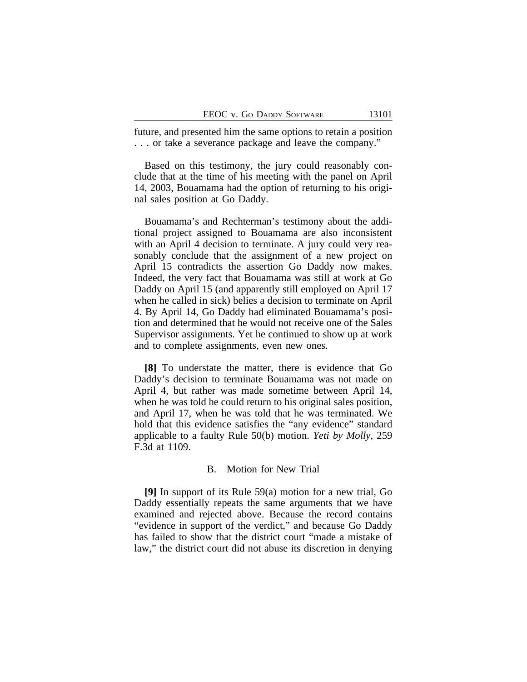future, and presented him the same options to retain a position . . . or take a severance package and leave the company."

Based on this testimony, the jury could reasonably conclude that at the time of his meeting with the panel on April 14, 2003, Bouamama had the option of returning to his original sales position at Go Daddy.

Bouamama's and Rechterman's testimony about the additional project assigned to Bouamama are also inconsistent with an April 4 decision to terminate. A jury could very reasonably conclude that the assignment of a new project on April 15 contradicts the assertion Go Daddy now makes. Indeed, the very fact that Bouamama was still at work at Go Daddy on April 15 (and apparently still employed on April 17 when he called in sick) belies a decision to terminate on April 4. By April 14, Go Daddy had eliminated Bouamama's position and determined that he would not receive one of the Sales Supervisor assignments. Yet he continued to show up at work and to complete assignments, even new ones.

**[8]** To understate the matter, there is evidence that Go Daddy's decision to terminate Bouamama was not made on April 4, but rather was made sometime between April 14, when he was told he could return to his original sales position, and April 17, when he was told that he was terminated. We hold that this evidence satisfies the "any evidence" standard applicable to a faulty Rule 50(b) motion. *Yeti by Molly*, 259 F.3d at 1109.

#### B. Motion for New Trial

**[9]** In support of its Rule 59(a) motion for a new trial, Go Daddy essentially repeats the same arguments that we have examined and rejected above. Because the record contains "evidence in support of the verdict," and because Go Daddy has failed to show that the district court "made a mistake of law," the district court did not abuse its discretion in denying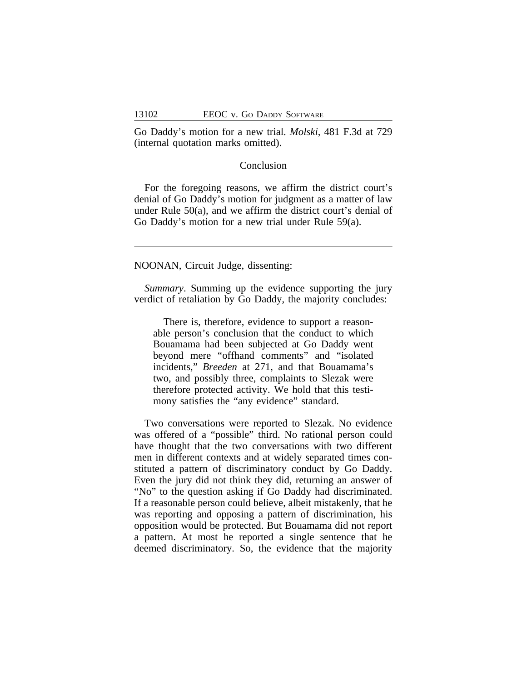Go Daddy's motion for a new trial. *Molski*, 481 F.3d at 729 (internal quotation marks omitted).

### Conclusion

For the foregoing reasons, we affirm the district court's denial of Go Daddy's motion for judgment as a matter of law under Rule 50(a), and we affirm the district court's denial of Go Daddy's motion for a new trial under Rule 59(a).

NOONAN, Circuit Judge, dissenting:

*Summary*. Summing up the evidence supporting the jury verdict of retaliation by Go Daddy, the majority concludes:

There is, therefore, evidence to support a reasonable person's conclusion that the conduct to which Bouamama had been subjected at Go Daddy went beyond mere "offhand comments" and "isolated incidents," *Breeden* at 271, and that Bouamama's two, and possibly three, complaints to Slezak were therefore protected activity. We hold that this testimony satisfies the "any evidence" standard.

Two conversations were reported to Slezak. No evidence was offered of a "possible" third. No rational person could have thought that the two conversations with two different men in different contexts and at widely separated times constituted a pattern of discriminatory conduct by Go Daddy. Even the jury did not think they did, returning an answer of "No" to the question asking if Go Daddy had discriminated. If a reasonable person could believe, albeit mistakenly, that he was reporting and opposing a pattern of discrimination, his opposition would be protected. But Bouamama did not report a pattern. At most he reported a single sentence that he deemed discriminatory. So, the evidence that the majority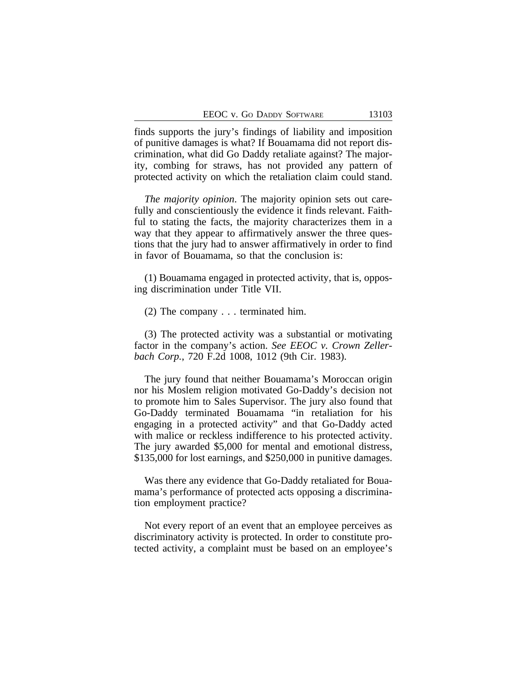finds supports the jury's findings of liability and imposition of punitive damages is what? If Bouamama did not report discrimination, what did Go Daddy retaliate against? The majority, combing for straws, has not provided any pattern of protected activity on which the retaliation claim could stand.

*The majority opinion*. The majority opinion sets out carefully and conscientiously the evidence it finds relevant. Faithful to stating the facts, the majority characterizes them in a way that they appear to affirmatively answer the three questions that the jury had to answer affirmatively in order to find in favor of Bouamama, so that the conclusion is:

(1) Bouamama engaged in protected activity, that is, opposing discrimination under Title VII.

(2) The company . . . terminated him.

(3) The protected activity was a substantial or motivating factor in the company's action. *See EEOC v. Crown Zellerbach Corp.*, 720 F.2d 1008, 1012 (9th Cir. 1983).

The jury found that neither Bouamama's Moroccan origin nor his Moslem religion motivated Go-Daddy's decision not to promote him to Sales Supervisor. The jury also found that Go-Daddy terminated Bouamama "in retaliation for his engaging in a protected activity" and that Go-Daddy acted with malice or reckless indifference to his protected activity. The jury awarded \$5,000 for mental and emotional distress, \$135,000 for lost earnings, and \$250,000 in punitive damages.

Was there any evidence that Go-Daddy retaliated for Bouamama's performance of protected acts opposing a discrimination employment practice?

Not every report of an event that an employee perceives as discriminatory activity is protected. In order to constitute protected activity, a complaint must be based on an employee's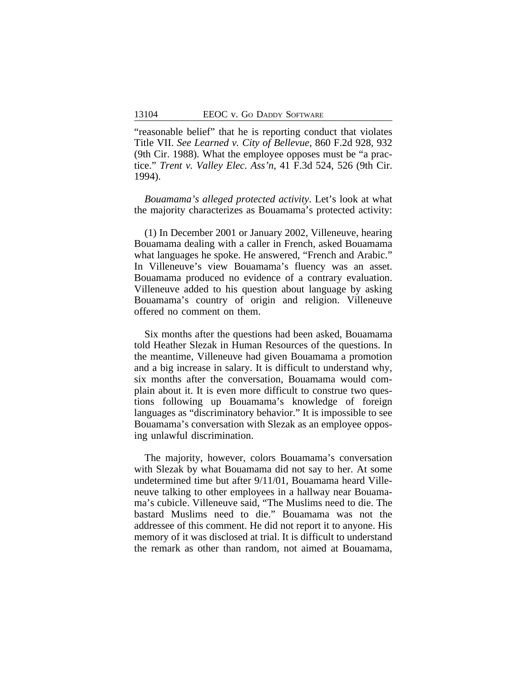"reasonable belief" that he is reporting conduct that violates Title VII. *See Learned v. City of Bellevue*, 860 F.2d 928, 932 (9th Cir. 1988). What the employee opposes must be "a practice." *Trent v. Valley Elec. Ass'n*, 41 F.3d 524, 526 (9th Cir. 1994).

*Bouamama's alleged protected activity*. Let's look at what the majority characterizes as Bouamama's protected activity:

(1) In December 2001 or January 2002, Villeneuve, hearing Bouamama dealing with a caller in French, asked Bouamama what languages he spoke. He answered, "French and Arabic." In Villeneuve's view Bouamama's fluency was an asset. Bouamama produced no evidence of a contrary evaluation. Villeneuve added to his question about language by asking Bouamama's country of origin and religion. Villeneuve offered no comment on them.

Six months after the questions had been asked, Bouamama told Heather Slezak in Human Resources of the questions. In the meantime, Villeneuve had given Bouamama a promotion and a big increase in salary. It is difficult to understand why, six months after the conversation, Bouamama would complain about it. It is even more difficult to construe two questions following up Bouamama's knowledge of foreign languages as "discriminatory behavior." It is impossible to see Bouamama's conversation with Slezak as an employee opposing unlawful discrimination.

The majority, however, colors Bouamama's conversation with Slezak by what Bouamama did not say to her. At some undetermined time but after 9/11/01, Bouamama heard Villeneuve talking to other employees in a hallway near Bouamama's cubicle. Villeneuve said, "The Muslims need to die. The bastard Muslims need to die." Bouamama was not the addressee of this comment. He did not report it to anyone. His memory of it was disclosed at trial. It is difficult to understand the remark as other than random, not aimed at Bouamama,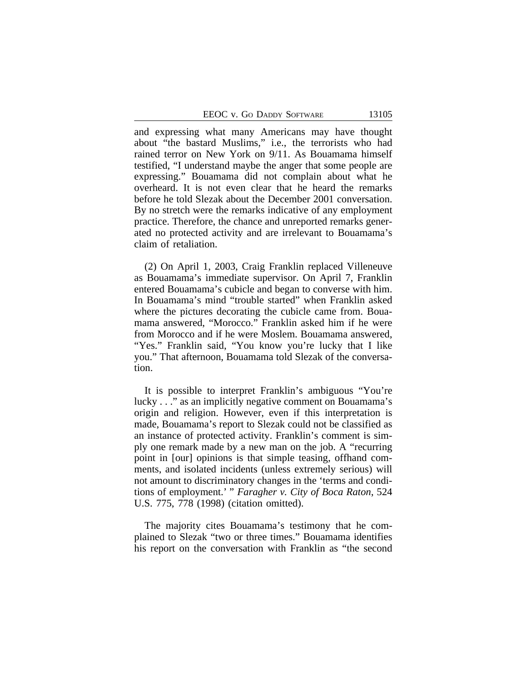EEOC v. Go DADDY SOFTWARE 13105

and expressing what many Americans may have thought about "the bastard Muslims," i.e., the terrorists who had rained terror on New York on 9/11. As Bouamama himself testified, "I understand maybe the anger that some people are expressing." Bouamama did not complain about what he overheard. It is not even clear that he heard the remarks before he told Slezak about the December 2001 conversation. By no stretch were the remarks indicative of any employment practice. Therefore, the chance and unreported remarks generated no protected activity and are irrelevant to Bouamama's claim of retaliation.

(2) On April 1, 2003, Craig Franklin replaced Villeneuve as Bouamama's immediate supervisor. On April 7, Franklin entered Bouamama's cubicle and began to converse with him. In Bouamama's mind "trouble started" when Franklin asked where the pictures decorating the cubicle came from. Bouamama answered, "Morocco." Franklin asked him if he were from Morocco and if he were Moslem. Bouamama answered, "Yes." Franklin said, "You know you're lucky that I like you." That afternoon, Bouamama told Slezak of the conversation.

It is possible to interpret Franklin's ambiguous "You're lucky . . ." as an implicitly negative comment on Bouamama's origin and religion. However, even if this interpretation is made, Bouamama's report to Slezak could not be classified as an instance of protected activity. Franklin's comment is simply one remark made by a new man on the job. A "recurring point in [our] opinions is that simple teasing, offhand comments, and isolated incidents (unless extremely serious) will not amount to discriminatory changes in the 'terms and conditions of employment.' " *Faragher v. City of Boca Raton*, 524 U.S. 775, 778 (1998) (citation omitted).

The majority cites Bouamama's testimony that he complained to Slezak "two or three times." Bouamama identifies his report on the conversation with Franklin as "the second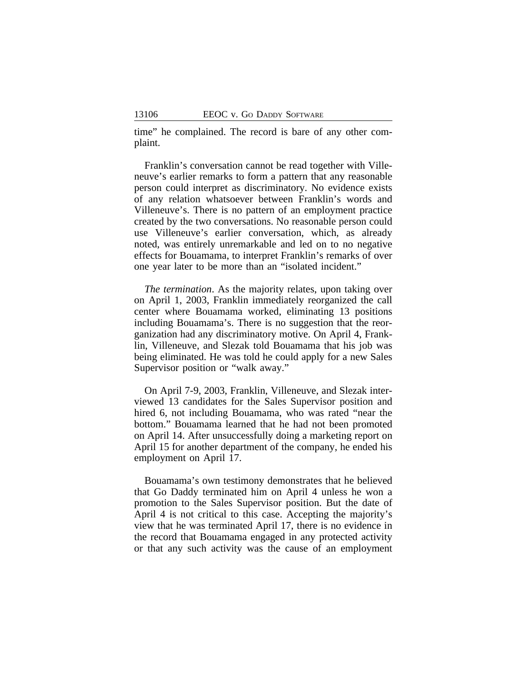time" he complained. The record is bare of any other complaint.

Franklin's conversation cannot be read together with Villeneuve's earlier remarks to form a pattern that any reasonable person could interpret as discriminatory. No evidence exists of any relation whatsoever between Franklin's words and Villeneuve's. There is no pattern of an employment practice created by the two conversations. No reasonable person could use Villeneuve's earlier conversation, which, as already noted, was entirely unremarkable and led on to no negative effects for Bouamama, to interpret Franklin's remarks of over one year later to be more than an "isolated incident."

*The termination*. As the majority relates, upon taking over on April 1, 2003, Franklin immediately reorganized the call center where Bouamama worked, eliminating 13 positions including Bouamama's. There is no suggestion that the reorganization had any discriminatory motive. On April 4, Franklin, Villeneuve, and Slezak told Bouamama that his job was being eliminated. He was told he could apply for a new Sales Supervisor position or "walk away."

On April 7-9, 2003, Franklin, Villeneuve, and Slezak interviewed 13 candidates for the Sales Supervisor position and hired 6, not including Bouamama, who was rated "near the bottom." Bouamama learned that he had not been promoted on April 14. After unsuccessfully doing a marketing report on April 15 for another department of the company, he ended his employment on April 17.

Bouamama's own testimony demonstrates that he believed that Go Daddy terminated him on April 4 unless he won a promotion to the Sales Supervisor position. But the date of April 4 is not critical to this case. Accepting the majority's view that he was terminated April 17, there is no evidence in the record that Bouamama engaged in any protected activity or that any such activity was the cause of an employment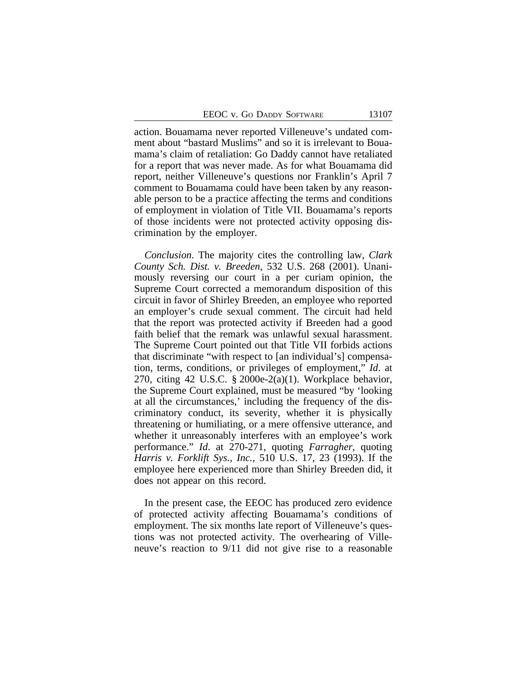action. Bouamama never reported Villeneuve's undated comment about "bastard Muslims" and so it is irrelevant to Bouamama's claim of retaliation: Go Daddy cannot have retaliated for a report that was never made. As for what Bouamama did report, neither Villeneuve's questions nor Franklin's April 7 comment to Bouamama could have been taken by any reasonable person to be a practice affecting the terms and conditions of employment in violation of Title VII. Bouamama's reports of those incidents were not protected activity opposing discrimination by the employer.

*Conclusion*. The majority cites the controlling law, *Clark County Sch. Dist. v. Breeden*, 532 U.S. 268 (2001). Unanimously reversing our court in a per curiam opinion, the Supreme Court corrected a memorandum disposition of this circuit in favor of Shirley Breeden, an employee who reported an employer's crude sexual comment. The circuit had held that the report was protected activity if Breeden had a good faith belief that the remark was unlawful sexual harassment. The Supreme Court pointed out that Title VII forbids actions that discriminate "with respect to [an individual's] compensation, terms, conditions, or privileges of employment," *Id*. at 270, citing 42 U.S.C. § 2000e-2(a)(1). Workplace behavior, the Supreme Court explained, must be measured "by 'looking at all the circumstances,' including the frequency of the discriminatory conduct, its severity, whether it is physically threatening or humiliating, or a mere offensive utterance, and whether it unreasonably interferes with an employee's work performance." *Id*. at 270-271, quoting *Farragher*, quoting *Harris v. Forklift Sys., Inc.*, 510 U.S. 17, 23 (1993). If the employee here experienced more than Shirley Breeden did, it does not appear on this record.

In the present case, the EEOC has produced zero evidence of protected activity affecting Bouamama's conditions of employment. The six months late report of Villeneuve's questions was not protected activity. The overhearing of Villeneuve's reaction to 9/11 did not give rise to a reasonable